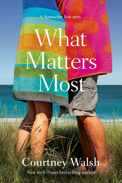

# What Matters Most

## Walsh purtney

New York Times bestselling author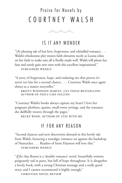## Praise for Novels by COURTNEY WALSH



## IS IT ANY WONDER

"[A] pleasing tale of lost love, forgiveness, and rekindled romance. . . . Walsh's wholesome plot weaves faith elements nicely as Louisa relies on her faith to make sure all is finally made well. Walsh will please her fans and surely gain new ones with this excellent inspirational."

*PUBLISHERS WEEKLY*

"A story of forgiveness, hope, and enduring ties that proves it's never too late for a second chance. . . . Courtney Walsh once again shines as a master storyteller."

**KRISTY WOODSON HARVEY,** *USA TODAY* **BESTSELLING AUTHOR OF** *FEELS LIKE FALLING*

"Courtney Walsh's books always capture my heart! I love her poignant plotlines, quaint, small-town settings, and the romance she skillfully weaves through the pages."

**BECKY WADE, AUTHOR OF** *STAY WITH ME*

## IF FOR ANY REASON

"Second chances and new discoveries abound in this lovely tale from Walsh, featuring a nostalgic romance set against the backdrop of Nantucket. . . . Readers of Irene Hannon will love this." *PUBLISHERS WEEKLY*

"*If for Any Reason* is a 'double romance' novel, beautifully written, poignantly sad in parts, but full of hope throughout. It is altogether a lovely book, with a strong Christian message and a really good story, and I cannot recommend it highly enough."

**CHRISTIAN NOVEL REVIEW**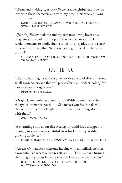"Warm and inviting, *If for Any Reason* is a delightful read. I fell in love with these characters and with my time in Nantucket. Don't miss this one."

**ROBIN LEE HATCHER, AWARD-WINNING AUTHOR OF**  *WHO I AM WITH YOU*

"*If for Any Reason* took me and my romance-loving heart on a poignant journey of hurt, hope, and second chances. . . . From tender moments to family drama to plenty of sparks, this is a story to be savored. Plus, that Nantucket setting—I need to plan a trip pronto!"

**MELISSA TAGG, AWARD -WINNING AUTHOR OF** *NOW AND THEN AND ALWAYS*

## JUST LET GO

"Walsh's charming narrative is an enjoyable blend of slice-of-life and small-town Americana that will please Christian readers looking for a sweet story of forgiveness."

*PUBLISHERS WEEKLY*

"Original, romantic, and emotional. Walsh doesn't just write the typical romance novel. . . . She makes you feel for all the characters, sometimes laughing and sometimes crying along with them<sup>"</sup>

*ROMANTIC TIMES*

"A charming story about discovering joy amid life's disappointments, *Just Let Go* is a delightful treat for Courtney Walsh's growing audience."

**RACHEL HAUCK,** *NEW YORK TIMES* **BESTSELLING AUTHOR**

"*Just Let Go* matches a winsome heroine with an unlikely hero in a romantic tale where opposites attract. . . . This is a page-turning, charming story about learning when to love and when to let go."

**DENISE HUNTER, BESTSELLING AUTHOR OF**  *HONEYSUCKLE DREAMS*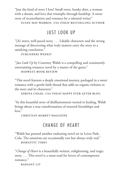"Just the kind of story I love! Small town, hunky skier, a woman with a dream, and love that triumphs through hardship. A sweet story of reconciliation and romance by a talented writer."

**SUSAN MAY WARREN,** *USA TODAY* **BESTSELLING AUTHOR**

## JUST LOOK UP

"[A] sweet, well-paced story. . . . Likable characters and the strong message of discovering what truly matters carry the story to a satisfying conclusion."

*PUBLISHERS WEEKLY*

"*Just Look Up* by Courtney Walsh is a compelling and consistently entertaining romance novel by a master of the genre." **MIDWEST BOOK REVIEW**

"This novel features a deeply emotional journey, packaged in a sweet romance with a gentle faith thread that adds an organic richness to the story and its characters."

**SERENA CHASE,** *USA TODAY* **HAPPY EVER AFTER BLOG**

"In this beautiful story of disillusionment turned to healing, Walsh brings about a true transformation of restored friendships and love."

*CHRISTIAN MARKET* **MAGAZINE**

## CHANGE OF HEART

"Walsh has penned another endearing novel set in Loves Park, Colo. The emotions are occasionally raw but always truly real." *ROMANTIC TIMES*

"*Change of Heart* is a beautifully written, enlightening, and tragic story. . . . This novel is a must-read for lovers of contemporary romance."

**RADIANT LIT**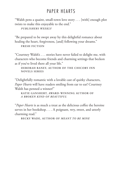## PAPER HEARTS

"Walsh pens a quaint, small-town love story . . . [with] enough plot twists to make this enjoyable to the end."

*PUBLISHERS WEEKLY*

"Be prepared to be swept away by this delightful romance about healing the heart, forgiveness, [and] following your dreams." **FRESH FICTION**

"Courtney Walsh's . . . stories have never failed to delight me, with characters who become friends and charming settings that beckon as if you've lived there all your life."

**DEBORAH RANEY, AUTHOR OF THE CHICORY INN NOVELS SERIES**

"Delightfully romantic with a lovable cast of quirky characters, *Paper Hearts* will have readers smiling from ear to ear! Courtney Walsh has penned a winner!"

**KATIE GANSHERT, AWARD-WINNING AUTHOR OF**  *A BROKEN KIND OF BEAUTIFUL*

"*Paper Hearts* is as much a treat as the delicious coffee the heroine serves in her bookshop. . . . A poignant, wry, sweet, and utterly charming read."

**BECKY WADE, AUTHOR OF** *MEANT TO BE MINE*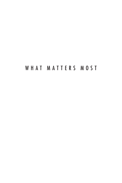## WHAT MATTERS MOST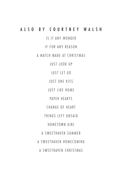### a l s o b y c o u r t n e y w a l s h

IS IT ANY WONDER

IF FOR ANY REASON

A MATCH MADE AT CHRISTMAS

JUST LOOK UP

JUST LET GO

JUST ONE KISS

JUST LIKE HOME

PAPER HEARTS

CHANGE OF HEART

THINGS LEFT UNSAID

HOMETOWN GIRL

A SWEETHAVEN SUMMER

A SWEETHAVEN HOMECOMING

A SWEETHAVEN CHRISTMAS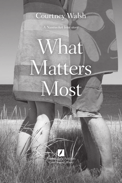# Courtney Walsh

*A Nantucket love story*

# What Matters Most

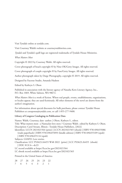Visit Tyndale online at tyndale.com.

Visit Courtney Walsh's website at courtneywalshwrites.com.

*Tyndale* and Tyndale's quill logo are registered trademarks of Tyndale House Ministries.

*What Matters Most*

Copyright © 2022 by Courtney Walsh. All rights reserved.

Cover photograph of beach copyright © by Nine OK/Getty Images. All rights reserved.

Cover photograph of couple copyright © by Fuse/Getty Images. All rights reserved.

Author photograph taken by Darge Photography, copyright © 2019. All rights reserved.

Designed by Faceout Studio, Amanda Hudson

Edited by Kathryn S. Olson

Published in association with the literary agency of Natasha Kern Literary Agency, Inc., P.O. Box 1069, White Salmon, WA 98672.

*What Matters Most* is a work of fiction. Where real people, events, establishments, organizations, or locales appear, they are used fictitiously. All other elements of the novel are drawn from the author's imagination.

For information about special discounts for bulk purchases, please contact Tyndale House Publishers at csresponse@tyndale.com, or call 1-855-277-9400.

#### **Library of Congress Cataloging-in-Publication Data**

Names: Walsh, Courtney, date- author. | Olson, Kathryn S., editor. Title: What matters most : a Nantucket love story / Courtney Walsh ; edited by Kathryn S. Olson. Description: Carol Stream, Illinois : Tyndale House Publishers, [2022] Identifiers: LCCN 2021021564 (print) | LCCN 2021021565 (ebook) | ISBN 9781496455086 (trade paperback) | ISBN 9781496455093 (kindle edition) | ISBN 9781496455109 (epub) | ISBN 9781496455116 (epub) Subjects: GSAFD: Love stories. Classification: LCC PS3623.A4455 W48 2022 (print) | LCC PS3623.A4455 (ebook) | DDC 813/.6—dc23 LC record available at https://lccn.loc.gov/2021021564 LC ebook record available at https://lccn.loc.gov/2021021565

Printed in the United States of America

28 27 26 25 24 23 22 7 6 5 4 3 2 1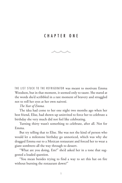### CHAPTER ONE



THE LIST STUCK TO THE REFRIGERATOR was meant to motivate Emma Woodson, but in that moment, it seemed only to taunt. She stared at the words she'd scribbled in a rare moment of bravery and struggled not to roll her eyes at her own naiveté.

#### *The Year of Emma.*

The idea had come to her one night two months ago when her best friend, Elise, had shown up uninvited to force her to celebrate a birthday she very much did not feel like celebrating.

Turning thirty wasn't something to celebrate, after all. Not for Emma.

But try telling that to Elise. She was not the kind of person who would let a milestone birthday go unnoticed, which was why she dragged Emma out to a Mexican restaurant and forced her to wear a giant sombrero all the way through to dessert.

"What are you doing, Em?" she'd asked her in a tone that suggested a loaded question.

"You mean besides trying to find a way to set this hat on fire without burning the restaurant down?"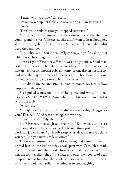"I mean with your life," Elise said.

Emma picked up her Coke and took a drink. "I'm surviving." Barely.

"Don't you think it's time you stopped surviving?"

"And what, die?" Emma set her drink down. She knew what was coming, and she wasn't interested. She didn't want to hear about how she was wasting her life. Not today. She already knew—she didn't need the reminder.

"No," Elise said. "You're practically coding and you're calling that a life. Enough's enough already."

It was easy for Elise to say. Her life was nearly perfect. She'd married Teddy, the love of her life, at twenty-three, had a baby at twentyfive on her first try, another baby at twenty-seven, also on her first try, and now she stayed home with her kids in the big, beautiful home funded by her husband's new job in private security.

Elise didn't understand Emma's circumstances, no matter how empathetic she was.

Elise pulled a notebook out of her purse and wrote in block letters: *THE YEAR OF EMMA.* She turned it around and slid it across the table.

"What's this?"

"Tonight we declare that this is the year everything changes for you," Elise said. "And we're putting it in writing."

Emma frowned. "My life is fine."

But Elise's sardonic laugh told the truth. "Em, when was the last time you did something for yourself? Or something just for fun? You work in a job you hate. You hardly sleep. Most days I don't even think you eat. And you never smile anymore."

The waiter returned with fried ice cream, and Emma's memory drifted back to the last birthday she'd spent with Cam. He'd made her a three-layer strawberry cake from scratch. As he presented it to her, the top tier slid right off the plate and onto the floor. He'd been disappointed at first, but the whole adorable scene struck Emma as so funny it took her a solid three minutes to stop laughing.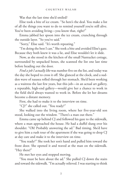Was that the last time she'd smiled?

Elise took a bite of ice cream. "So here's the deal. You make a list of all the things you want to do to remind yourself you're still alive. You've been avoiding living—you know that, right?"

Emma jabbed her spoon into the ice cream, crunching through the outside layer. "So you've said."

"Sorry," Elise said. "It's worth repeating."

"I'm doing the best I can." She took a bite and avoided Elise's gaze. Because they both knew it was a lie, and Elise wouldn't let it slide.

Now, as she stood in the kitchen of the small Nantucket cottage, surrounded by unpacked boxes, she scanned the list one last time before heading out the door.

*Find a job I actually like* was number five on the list, and today was the day she hoped to cross it off. She glanced at the clock, and a sudden wave of nausea rolled through her stomach. She'd been working as a waitress the last few years, but this job—in an actual art gallery, a reputable, high-end gallery—would give her a chance to work in the field she'd always wanted to work in. Before she let her dreams become a distant memory.

First, she had to make it to the interview on time.

"CJ?" she called out. "You ready?"

She walked into the living room, where her five-year-old son stood, looking out the window. "There's a man out there."

Emma came up behind CJ and followed his gaze to the sidewalk, where a man approached the house. He had a duffel slung over his shoulder. "Oh! Probably answering the ad." Bad timing. She'd have to give him a rush tour of the apartment if she was going to drop CJ at day care and make it to the interview on time.

"You ready?" She took her son's hand and pulled him toward the front door. She opened it and waved at the man on the sidewalk. "Hey there!"

He met her eyes and stopped moving.

"You must be here about the ad." She pulled CJ down the stairs and toward the sidewalk. "I'm actually relieved. I was starting to think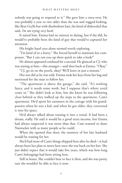nobody was going to respond to it." She gave him a once-over. He was probably a year or two older than she was and rugged-looking, like Bear Grylls but with disobedient hair, the kind of disheveled that said, *I'm not trying very hard*.

It suited him. Emma had no interest in dating, but if she did, he would've probably been the kind of guy that would've captured her attention.

His bright hazel eyes alone seemed worth exploring.

"I'm kind of in a hurry." She forced herself to maintain her composure. "But I can run you up there quick to take a look?"

He almost appeared confused for a second. He glanced at CJ, who was staring at him—this stranger—and then back at Emma. "Okay."

"CJ, go sit on the porch, okay? We'll leave in just a minute."

Her son did as he was told. Emma took her keys from her bag and motioned for the man to follow her.

"The apartment is above the garage," she said. "It's nothing fancy, and it needs some work, but I suppose that's where you'd come in." She didn't look at him, but she knew he was following close behind as they walked up the steps to the apartment. Cam's apartment. He'd spent his summers in the cottage with his grandparents when he was a kid, and when he got older, they converted it into his space.

He'd always talked about turning it into a rental. It had been a dream, really. He said it would be a good extra income, but Emma had always suspected it was more than that. Cam wanted to share Nantucket with as many people as he could.

When she opened that door, the memory of her late husband would be waiting for her.

She'd had most of Cam's things shipped here after he died—it had always been her plan to move here once she was back on her feet. She just didn't expect that it would take five years, which was how long Cam's belongings had been sitting here.

Still in boxes. She couldn't bear to face it then, and she was pretty sure she wouldn't be able to face it now.

4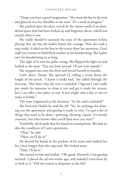"I hope you have a good imagination." She stuck the key in the lock and glanced over her shoulder at the man. "It's a work in progress."

She pushed open the door, struck by the musty smell of an abandoned space that had been locked up and forgotten about, which was exactly what it was.

She really should've assessed the state of the apartment before placing that ad, but she hadn't found the courage. Now she took a step inside. A label on the box in the corner drew her attention. *Cam's stuff* was written in bold black marker in his handwriting. She hadn't seen his handwriting in so long.

The sight of it sent her pulse racing. She flipped the light on and looked at the man. "You can look around. I'll just wait outside."

She stepped out onto the deck and forced herself to breathe.

*Calm down, Emma.* She spotted CJ rolling a truck down the length of the porch. "I know it looks bad," she called through the doorway. "But that's why the rent is included. I figured I can't really pay much for someone to clean it out and get it ready for renters, but I can offer a free place to stay. It just might take a day or two to make it livable."

The man reappeared in the doorway. "So the rent's included?"

She frowned. Hadn't he read the ad? "Yes. In exchange for cleaning out the apartment and getting it ready to rent. I've got a list of things that need to be done—painting, cleaning, repairs. It's mostly cosmetic, but who knows what you'll find once you start?"

Truthfully, she'd made that list based on assumptions. She had no idea the condition of Cam's apartment.

"Okay," he said.

"Okay, you'll do it?"

He shoved his hands in the pockets of his jeans and studied her for a beat longer than she expected. She looked away.

"Yeah, I'll do it."

She turned to him and smiled. "Oh, good. Honestly, I was getting worried. I placed the ad two weeks ago, and nobody's even been by to look at it." Did she sound as desperate as she felt?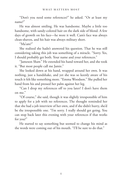"Don't you need some references?" he asked. "Or at least my name?"

He was almost smiling. He was handsome. Maybe a little too handsome, with sandy-colored hair on the dark side of blond. A few days of growth on his face—he wore it well. Cam's face was always clean-shaven, and his hair was always military short.

"Ma'am?"

She realized she hadn't answered his question. That he was still considering taking this job was something of a miracle. "Sorry. Yes, I should probably get both. Your name and your references."

"Jameson Shaw." He extended his hand toward her, and she took it. "But most people call me Jamie."

She looked down at his hand, wrapped around her own. It was nothing, just a handshake, and yet she was so keenly aware of his touch it felt like something more. "Emma Woodson." She pulled her hand from his and pressed her palm against her leg.

"Can I drop my references off to you later? I don't have them on me."

"Of course," she said, though it was slightly irresponsible of him to apply for a job with no references. The thought reminded her that she had a job interview of her own, and if she didn't hurry, she'd be the irresponsible one. "I'm sorry. I really should get going. You can stop back later this evening with your references if that works for you?"

He started to say something but seemed to change his mind as the words were coming out of his mouth. "I'll be sure to do that."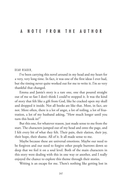#### DEAR READER,

I've been carrying this novel around in my head and my heart for a very, very long time. In fact, it was one of the first ideas I ever had, but the timing never quite worked out for me to write it. I'm so very thankful that changed.

Emma and Jamie's story is a rare one, one that poured straight out of me so fast I don't think I could've stopped it. It was the kind of story that felt like a gift from God, like he cracked open my skull and dropped it inside. Not all books are like that. Most, in fact, are not. More often, there is a lot of angst, a lot of toiling, a lot of frustration, a lot of my husband asking, "How much longer until you turn this book in?"

But this one, for whatever reason, just made sense to me from the start. The characters jumped out of my head and onto the page, and I felt every bit of what they felt. Their pain, their elation, their joy, their hope, their shame. All of it. It all made sense to me.

Maybe because these are universal emotions. Maybe our need to be forgiven and our need to forgive other people burrows down so deep that we feel it on a soul level. Both of the main characters in this story were dealing with this in one way or another, and I really enjoyed the chance to explore this theme through their stories.

Writing is an escape for me. There's nothing like getting lost in